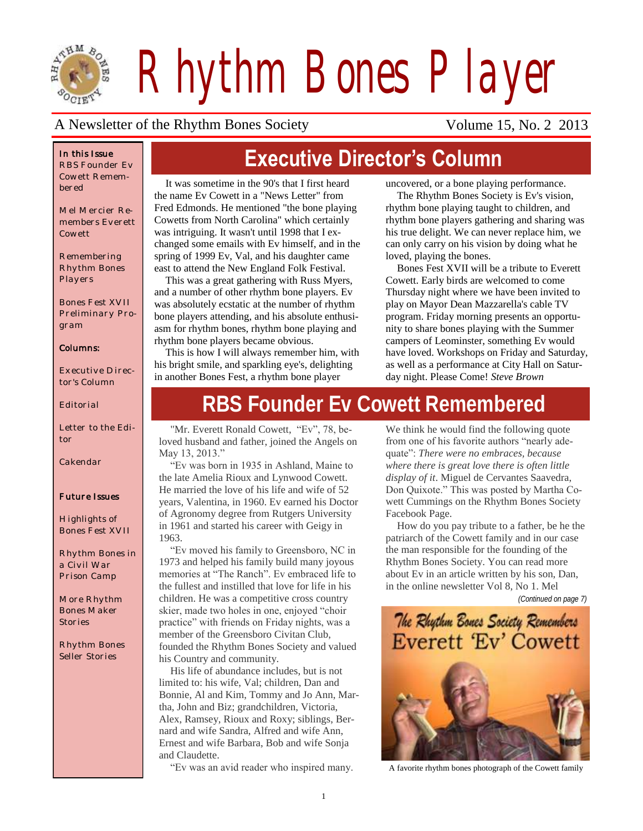

*Rhythm Bones Player*

### A Newsletter of the Rhythm Bones Society Volume 15, No. 2 2013

#### *In this Issue*

*RBS Founder Ev Cowett Remembered*

*Mel Mercier Remembers Everett Cowett*

*Remembering Rhythm Bones Players*

*Bones Fest XVII Preliminary Program*

#### *Columns:*

*Executive Director's Column*

*Editorial*

*Letter to the Editor*

*Cakendar*

#### *Future Issues*

*Highlights of Bones Fest XVII*

*Rhythm Bones in a Civil War Prison Camp*

*More Rhythm Bones Maker Stories*

*Rhythm Bones Seller Stories*

# **Executive Director's Column**

It was sometime in the 90's that I first heard the name Ev Cowett in a "News Letter" from Fred Edmonds. He mentioned "the bone playing Cowetts from North Carolina" which certainly was intriguing. It wasn't until 1998 that I exchanged some emails with Ev himself, and in the spring of 1999 Ev, Val, and his daughter came east to attend the New England Folk Festival.

This was a great gathering with Russ Myers, and a number of other rhythm bone players. Ev was absolutely ecstatic at the number of rhythm bone players attending, and his absolute enthusiasm for rhythm bones, rhythm bone playing and rhythm bone players became obvious.

This is how I will always remember him, with his bright smile, and sparkling eye's, delighting in another Bones Fest, a rhythm bone player

uncovered, or a bone playing performance.

The Rhythm Bones Society is Ev's vision, rhythm bone playing taught to children, and rhythm bone players gathering and sharing was his true delight. We can never replace him, we can only carry on his vision by doing what he loved, playing the bones.

Bones Fest XVII will be a tribute to Everett Cowett. Early birds are welcomed to come Thursday night where we have been invited to play on Mayor Dean Mazzarella's cable TV program. Friday morning presents an opportunity to share bones playing with the Summer campers of Leominster, something Ev would have loved. Workshops on Friday and Saturday, as well as a performance at City Hall on Saturday night. Please Come! *Steve Brown*

# **RBS Founder Ev Cowett Remembered**

"Mr. Everett Ronald Cowett, "Ev", 78, beloved husband and father, joined the Angels on May 13, 2013."

"Ev was born in 1935 in Ashland, Maine to the late Amelia Rioux and Lynwood Cowett. He married the love of his life and wife of 52 years, Valentina, in 1960. Ev earned his Doctor of Agronomy degree from Rutgers University in 1961 and started his career with Geigy in 1963.

"Ev moved his family to Greensboro, NC in 1973 and helped his family build many joyous memories at "The Ranch". Ev embraced life to the fullest and instilled that love for life in his children. He was a competitive cross country skier, made two holes in one, enjoyed "choir practice" with friends on Friday nights, was a member of the Greensboro Civitan Club, founded the Rhythm Bones Society and valued his Country and community.

His life of abundance includes, but is not limited to: his wife, Val; children, Dan and Bonnie, Al and Kim, Tommy and Jo Ann, Martha, John and Biz; grandchildren, Victoria, Alex, Ramsey, Rioux and Roxy; siblings, Bernard and wife Sandra, Alfred and wife Ann, Ernest and wife Barbara, Bob and wife Sonja and Claudette.

"Ev was an avid reader who inspired many. A favorite rhythm bones photograph of the Cowett family

We think he would find the following quote from one of his favorite authors "nearly adequate": *There were no embraces, because where there is great love there is often little display of it*. Miguel de Cervantes Saavedra, Don Quixote." This was posted by Martha Cowett Cummings on the Rhythm Bones Society Facebook Page.

How do you pay tribute to a father, be he the patriarch of the Cowett family and in our case the man responsible for the founding of the Rhythm Bones Society. You can read more about Ev in an article written by his son, Dan, in the online newsletter Vol 8, No 1. Mel

*(Continued on page 7)*

### The Rhythm Bones Society Remembers **Everett 'Ev' Cowett**

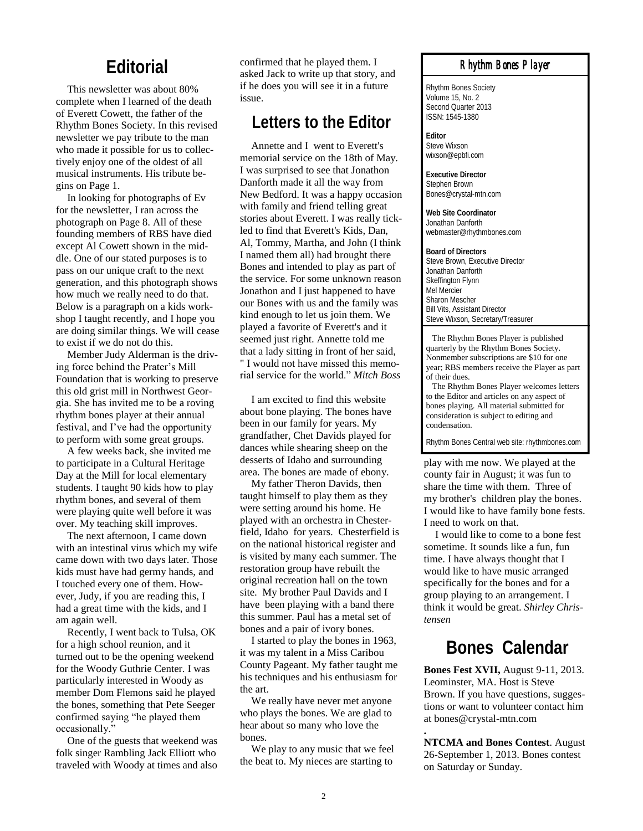### **Editorial**

This newsletter was about 80% complete when I learned of the death of Everett Cowett, the father of the Rhythm Bones Society. In this revised newsletter we pay tribute to the man who made it possible for us to collectively enjoy one of the oldest of all musical instruments. His tribute begins on Page 1.

In looking for photographs of Ev for the newsletter, I ran across the photograph on Page 8. All of these founding members of RBS have died except Al Cowett shown in the middle. One of our stated purposes is to pass on our unique craft to the next generation, and this photograph shows how much we really need to do that. Below is a paragraph on a kids workshop I taught recently, and I hope you are doing similar things. We will cease to exist if we do not do this.

Member Judy Alderman is the driving force behind the Prater's Mill Foundation that is working to preserve this old grist mill in Northwest Georgia. She has invited me to be a roving rhythm bones player at their annual festival, and I've had the opportunity to perform with some great groups.

A few weeks back, she invited me to participate in a Cultural Heritage Day at the Mill for local elementary students. I taught 90 kids how to play rhythm bones, and several of them were playing quite well before it was over. My teaching skill improves.

The next afternoon, I came down with an intestinal virus which my wife came down with two days later. Those kids must have had germy hands, and I touched every one of them. However, Judy, if you are reading this, I had a great time with the kids, and I am again well.

Recently, I went back to Tulsa, OK for a high school reunion, and it turned out to be the opening weekend for the Woody Guthrie Center. I was particularly interested in Woody as member Dom Flemons said he played the bones, something that Pete Seeger confirmed saying "he played them occasionally."

One of the guests that weekend was folk singer Rambling Jack Elliott who traveled with Woody at times and also

confirmed that he played them. I asked Jack to write up that story, and if he does you will see it in a future issue.

### **Letters to the Editor**

Annette and I went to Everett's memorial service on the 18th of May. I was surprised to see that Jonathon Danforth made it all the way from New Bedford. It was a happy occasion with family and friend telling great stories about Everett. I was really tickled to find that Everett's Kids, Dan, Al, Tommy, Martha, and John (I think I named them all) had brought there Bones and intended to play as part of the service. For some unknown reason Jonathon and I just happened to have our Bones with us and the family was kind enough to let us join them. We played a favorite of Everett's and it seemed just right. Annette told me that a lady sitting in front of her said, " I would not have missed this memorial service for the world." *Mitch Boss*

I am excited to find this website about bone playing. The bones have been in our family for years. My grandfather, Chet Davids played for dances while shearing sheep on the desserts of Idaho and surrounding area. The bones are made of ebony.

My father Theron Davids, then taught himself to play them as they were setting around his home. He played with an orchestra in Chesterfield, Idaho for years. Chesterfield is on the national historical register and is visited by many each summer. The restoration group have rebuilt the original recreation hall on the town site. My brother Paul Davids and I have been playing with a band there this summer. Paul has a metal set of bones and a pair of ivory bones.

I started to play the bones in 1963, it was my talent in a Miss Caribou County Pageant. My father taught me his techniques and his enthusiasm for the art.

We really have never met anyone who plays the bones. We are glad to hear about so many who love the bones.

We play to any music that we feel the beat to. My nieces are starting to

#### *Rhythm Bones Player*

Rhythm Bones Society Volume 15, No. 2 Second Quarter 2013 ISSN: 1545-1380

**Editor** Steve Wixson wixson@epbfi.com

**Executive Director** Stephen Brown Bones@crystal-mtn.com

**Web Site Coordinator** Jonathan Danforth webmaster@rhythmbones.com

**Board of Directors** Steve Brown, Executive Director Jonathan Danforth Skeffington Flynn Mel Mercier Sharon Mescher Bill Vits, Assistant Director Steve Wixson, Secretary/Treasurer

 The Rhythm Bones Player is published quarterly by the Rhythm Bones Society. Nonmember subscriptions are \$10 for one year; RBS members receive the Player as part of their dues.

 The Rhythm Bones Player welcomes letters to the Editor and articles on any aspect of bones playing. All material submitted for consideration is subject to editing and condensation.

Rhythm Bones Central web site: rhythmbones.com

play with me now. We played at the county fair in August; it was fun to share the time with them. Three of my brother's children play the bones. I would like to have family bone fests. I need to work on that.

I would like to come to a bone fest sometime. It sounds like a fun, fun time. I have always thought that I would like to have music arranged specifically for the bones and for a group playing to an arrangement. I think it would be great. *Shirley Christensen*

### **Bones Calendar**

**Bones Fest XVII,** August 9-11, 2013. Leominster, MA. Host is Steve Brown. If you have questions, suggestions or want to volunteer contact him at bones@crystal-mtn.com

**NTCMA and Bones Contest**. August 26-September 1, 2013. Bones contest on Saturday or Sunday.

**.**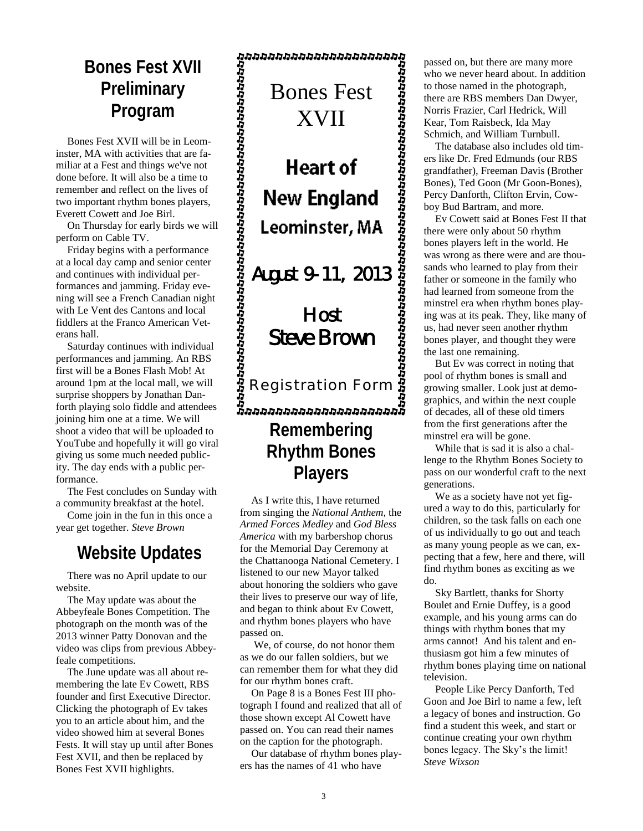### **Bones Fest XVII Preliminary Program**

Bones Fest XVII will be in Leominster, MA with activities that are familiar at a Fest and things we've not done before. It will also be a time to remember and reflect on the lives of two important rhythm bones players, Everett Cowett and Joe Birl.

On Thursday for early birds we will perform on Cable TV.

Friday begins with a performance at a local day camp and senior center and continues with individual performances and jamming. Friday evening will see a French Canadian night with Le Vent des Cantons and local fiddlers at the Franco American Veterans hall.

Saturday continues with individual performances and jamming. An RBS first will be a Bones Flash Mob! At around 1pm at the local mall, we will surprise shoppers by Jonathan Danforth playing solo fiddle and attendees joining him one at a time. We will shoot a video that will be uploaded to YouTube and hopefully it will go viral giving us some much needed publicity. The day ends with a public performance.

The Fest concludes on Sunday with a community breakfast at the hotel.

Come join in the fun in this once a year get together. *Steve Brown*

### **Website Updates**

There was no April update to our website.

The May update was about the Abbeyfeale Bones Competition. The photograph on the month was of the 2013 winner Patty Donovan and the video was clips from previous Abbeyfeale competitions.

The June update was all about remembering the late Ev Cowett, RBS founder and first Executive Director. Clicking the photograph of Ev takes you to an article about him, and the video showed him at several Bones Fests. It will stay up until after Bones Fest XVII, and then be replaced by Bones Fest XVII highlights.

**Remembering Rhythm Bones Players** Bones Fest XVII August 9-11, 2013 Host Steve Brown Registration Form

As I write this, I have returned from singing the *National Anthem,* the *Armed Forces Medley* and *God Bless America* with my barbershop chorus for the Memorial Day Ceremony at the Chattanooga National Cemetery. I listened to our new Mayor talked about honoring the soldiers who gave their lives to preserve our way of life, and began to think about Ev Cowett, and rhythm bones players who have passed on.

We, of course, do not honor them as we do our fallen soldiers, but we can remember them for what they did for our rhythm bones craft.

On Page 8 is a Bones Fest III photograph I found and realized that all of those shown except Al Cowett have passed on. You can read their names on the caption for the photograph.

Our database of rhythm bones players has the names of 41 who have

passed on, but there are many more who we never heard about. In addition to those named in the photograph, there are RBS members Dan Dwyer, Norris Frazier, Carl Hedrick, Will Kear, Tom Raisbeck, Ida May Schmich, and William Turnbull.

The database also includes old timers like Dr. Fred Edmunds (our RBS grandfather), Freeman Davis (Brother Bones), Ted Goon (Mr Goon-Bones), Percy Danforth, Clifton Ervin, Cowboy Bud Bartram, and more.

Ev Cowett said at Bones Fest II that there were only about 50 rhythm bones players left in the world. He was wrong as there were and are thousands who learned to play from their father or someone in the family who had learned from someone from the minstrel era when rhythm bones playing was at its peak. They, like many of us, had never seen another rhythm bones player, and thought they were the last one remaining.

But Ev was correct in noting that pool of rhythm bones is small and growing smaller. Look just at demographics, and within the next couple of decades, all of these old timers from the first generations after the minstrel era will be gone.

While that is sad it is also a challenge to the Rhythm Bones Society to pass on our wonderful craft to the next generations.

We as a society have not yet figured a way to do this, particularly for children, so the task falls on each one of us individually to go out and teach as many young people as we can, expecting that a few, here and there, will find rhythm bones as exciting as we do.

Sky Bartlett, thanks for Shorty Boulet and Ernie Duffey, is a good example, and his young arms can do things with rhythm bones that my arms cannot! And his talent and enthusiasm got him a few minutes of rhythm bones playing time on national television.

People Like Percy Danforth, Ted Goon and Joe Birl to name a few, left a legacy of bones and instruction. Go find a student this week, and start or continue creating your own rhythm bones legacy. The Sky's the limit! *Steve Wixson*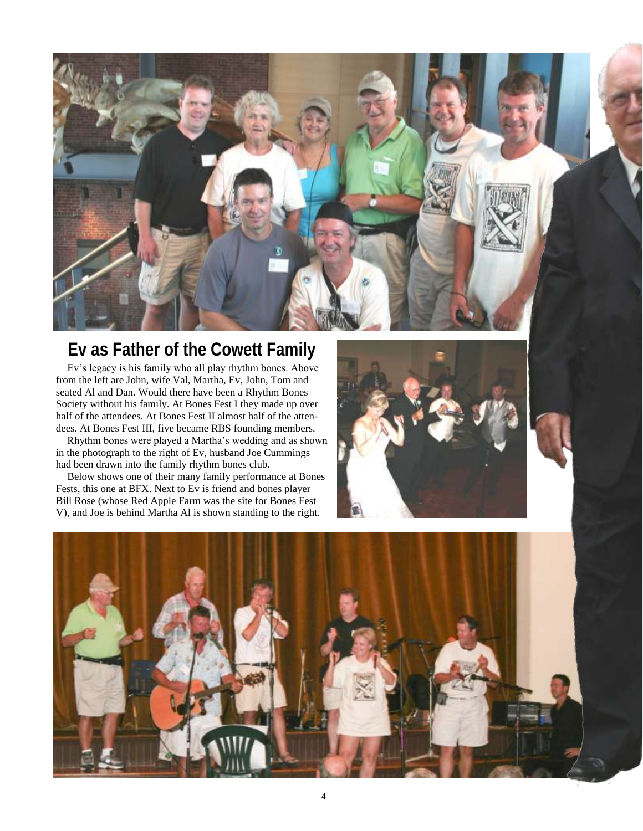

### **Ev as Father of the Cowett Family**

Ev's legacy is his family who all play rhythm bones. Above from the left are John, wife Val, Martha, Ev, John, Tom and seated Al and Dan. Would there have been a Rhythm Bones Society without his family. At Bones Fest I they made up over half of the attendees. At Bones Fest II almost half of the attendees. At Bones Fest III, five became RBS founding members.

Rhythm bones were played a Martha's wedding and as shown in the photograph to the right of Ev, husband Joe Cummings had been drawn into the family rhythm bones club.

Below shows one of their many family performance at Bones Fests, this one at BFX. Next to Ev is friend and bones player Bill Rose (whose Red Apple Farm was the site for Bones Fest V), and Joe is behind Martha Al is shown standing to the right.



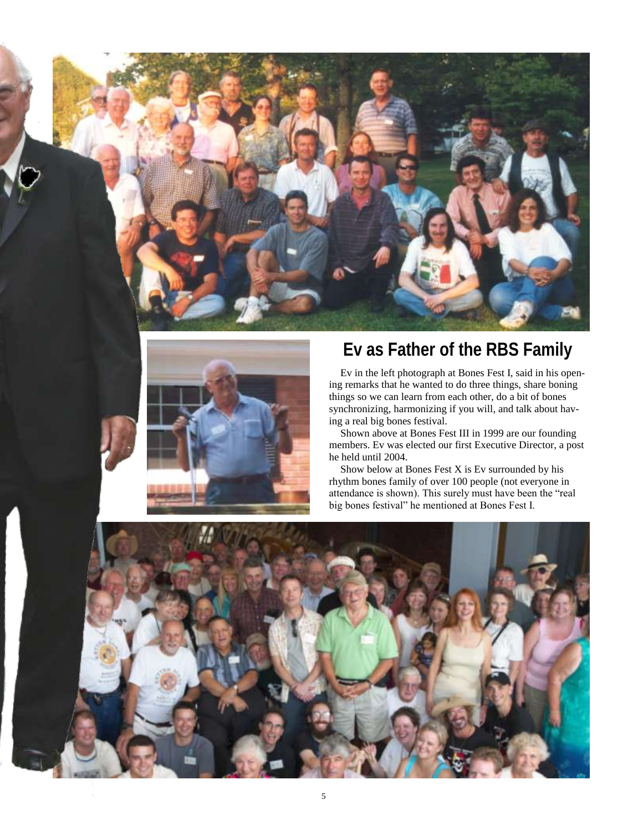



## **Ev as Father of the RBS Family**

Ev in the left photograph at Bones Fest I, said in his opening remarks that he wanted to do three things, share boning things so we can learn from each other, do a bit of bones synchronizing, harmonizing if you will, and talk about having a real big bones festival.

Shown above at Bones Fest III in 1999 are our founding members. Ev was elected our first Executive Director, a post he held until 2004.

Show below at Bones Fest X is Ev surrounded by his rhythm bones family of over 100 people (not everyone in attendance is shown). This surely must have been the "real big bones festival" he mentioned at Bones Fest I.

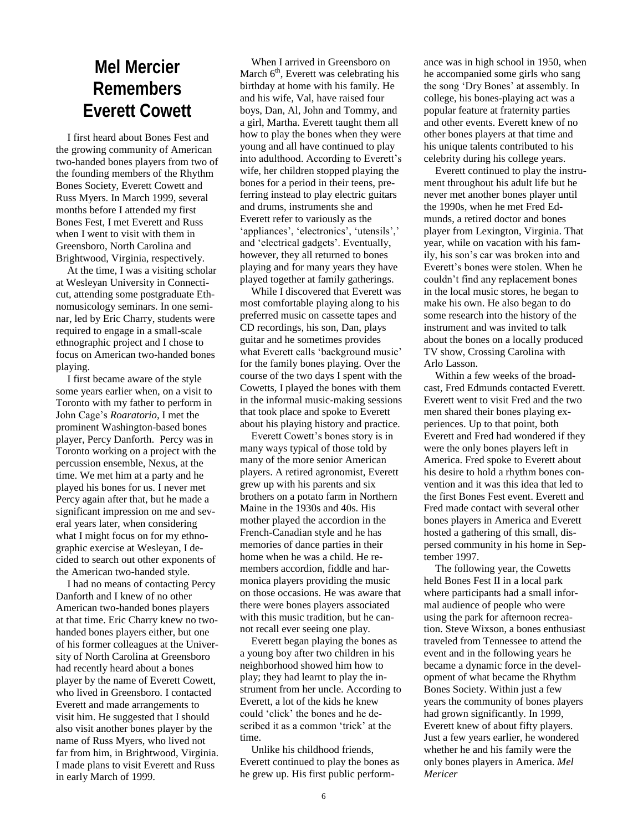## **Mel Mercier Remembers Everett Cowett**

I first heard about Bones Fest and the growing community of American two-handed bones players from two of the founding members of the Rhythm Bones Society, Everett Cowett and Russ Myers. In March 1999, several months before I attended my first Bones Fest, I met Everett and Russ when I went to visit with them in Greensboro, North Carolina and Brightwood, Virginia, respectively.

At the time, I was a visiting scholar at Wesleyan University in Connecticut, attending some postgraduate Ethnomusicology seminars. In one seminar, led by Eric Charry, students were required to engage in a small-scale ethnographic project and I chose to focus on American two-handed bones playing.

I first became aware of the style some years earlier when, on a visit to Toronto with my father to perform in John Cage's *Roaratorio*, I met the prominent Washington-based bones player, Percy Danforth. Percy was in Toronto working on a project with the percussion ensemble, Nexus, at the time. We met him at a party and he played his bones for us. I never met Percy again after that, but he made a significant impression on me and several years later, when considering what I might focus on for my ethnographic exercise at Wesleyan, I decided to search out other exponents of the American two-handed style.

I had no means of contacting Percy Danforth and I knew of no other American two-handed bones players at that time. Eric Charry knew no twohanded bones players either, but one of his former colleagues at the University of North Carolina at Greensboro had recently heard about a bones player by the name of Everett Cowett, who lived in Greensboro. I contacted Everett and made arrangements to visit him. He suggested that I should also visit another bones player by the name of Russ Myers, who lived not far from him, in Brightwood, Virginia. I made plans to visit Everett and Russ in early March of 1999.

When I arrived in Greensboro on March  $6<sup>th</sup>$ , Everett was celebrating his birthday at home with his family. He and his wife, Val, have raised four boys, Dan, Al, John and Tommy, and a girl, Martha. Everett taught them all how to play the bones when they were young and all have continued to play into adulthood. According to Everett's wife, her children stopped playing the bones for a period in their teens, preferring instead to play electric guitars and drums, instruments she and Everett refer to variously as the 'appliances', 'electronics', 'utensils',' and 'electrical gadgets'. Eventually, however, they all returned to bones playing and for many years they have played together at family gatherings.

While I discovered that Everett was most comfortable playing along to his preferred music on cassette tapes and CD recordings, his son, Dan, plays guitar and he sometimes provides what Everett calls 'background music' for the family bones playing. Over the course of the two days I spent with the Cowetts, I played the bones with them in the informal music-making sessions that took place and spoke to Everett about his playing history and practice.

Everett Cowett's bones story is in many ways typical of those told by many of the more senior American players. A retired agronomist, Everett grew up with his parents and six brothers on a potato farm in Northern Maine in the 1930s and 40s. His mother played the accordion in the French-Canadian style and he has memories of dance parties in their home when he was a child. He remembers accordion, fiddle and harmonica players providing the music on those occasions. He was aware that there were bones players associated with this music tradition, but he cannot recall ever seeing one play.

Everett began playing the bones as a young boy after two children in his neighborhood showed him how to play; they had learnt to play the instrument from her uncle. According to Everett, a lot of the kids he knew could 'click' the bones and he described it as a common 'trick' at the time.

Unlike his childhood friends, Everett continued to play the bones as he grew up. His first public performance was in high school in 1950, when he accompanied some girls who sang the song 'Dry Bones' at assembly. In college, his bones-playing act was a popular feature at fraternity parties and other events. Everett knew of no other bones players at that time and his unique talents contributed to his celebrity during his college years.

Everett continued to play the instrument throughout his adult life but he never met another bones player until the 1990s, when he met Fred Edmunds, a retired doctor and bones player from Lexington, Virginia. That year, while on vacation with his family, his son's car was broken into and Everett's bones were stolen. When he couldn't find any replacement bones in the local music stores, he began to make his own. He also began to do some research into the history of the instrument and was invited to talk about the bones on a locally produced TV show, Crossing Carolina with Arlo Lasson.

Within a few weeks of the broadcast, Fred Edmunds contacted Everett. Everett went to visit Fred and the two men shared their bones playing experiences. Up to that point, both Everett and Fred had wondered if they were the only bones players left in America. Fred spoke to Everett about his desire to hold a rhythm bones convention and it was this idea that led to the first Bones Fest event. Everett and Fred made contact with several other bones players in America and Everett hosted a gathering of this small, dispersed community in his home in September 1997.

The following year, the Cowetts held Bones Fest II in a local park where participants had a small informal audience of people who were using the park for afternoon recreation. Steve Wixson, a bones enthusiast traveled from Tennessee to attend the event and in the following years he became a dynamic force in the development of what became the Rhythm Bones Society. Within just a few years the community of bones players had grown significantly. In 1999, Everett knew of about fifty players. Just a few years earlier, he wondered whether he and his family were the only bones players in America. *Mel Mericer*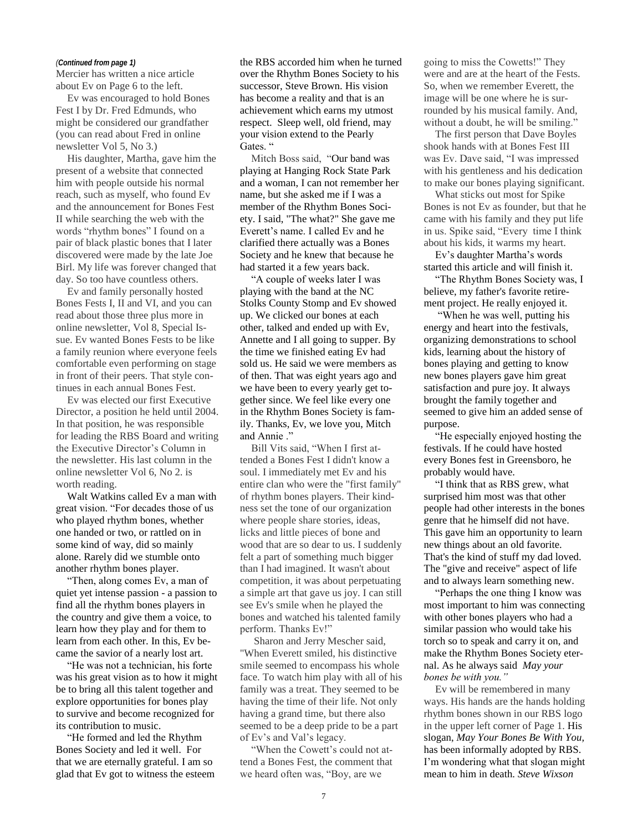Mercier has written a nice article about Ev on Page 6 to the left.

Ev was encouraged to hold Bones Fest I by Dr. Fred Edmunds, who might be considered our grandfather (you can read about Fred in online newsletter Vol 5, No 3.)

His daughter, Martha, gave him the present of a website that connected him with people outside his normal reach, such as myself, who found Ev and the announcement for Bones Fest II while searching the web with the words "rhythm bones" I found on a pair of black plastic bones that I later discovered were made by the late Joe Birl. My life was forever changed that day. So too have countless others.

Ev and family personally hosted Bones Fests I, II and VI, and you can read about those three plus more in online newsletter, Vol 8, Special Issue. Ev wanted Bones Fests to be like a family reunion where everyone feels comfortable even performing on stage in front of their peers. That style continues in each annual Bones Fest.

Ev was elected our first Executive Director, a position he held until 2004. In that position, he was responsible for leading the RBS Board and writing the Executive Director's Column in the newsletter. His last column in the online newsletter Vol 6, No 2. is worth reading.

Walt Watkins called Ev a man with great vision. "For decades those of us who played rhythm bones, whether one handed or two, or rattled on in some kind of way, did so mainly alone. Rarely did we stumble onto another rhythm bones player.

"Then, along comes Ev, a man of quiet yet intense passion - a passion to find all the rhythm bones players in the country and give them a voice, to learn how they play and for them to learn from each other. In this, Ev became the savior of a nearly lost art.

"He was not a technician, his forte was his great vision as to how it might be to bring all this talent together and explore opportunities for bones play to survive and become recognized for its contribution to music.

"He formed and led the Rhythm Bones Society and led it well. For that we are eternally grateful. I am so glad that Ev got to witness the esteem over the Rhythm Bones Society to his successor, Steve Brown. His vision has become a reality and that is an achievement which earns my utmost respect. Sleep well, old friend, may your vision extend to the Pearly Gates. "

Mitch Boss said, "Our band was playing at Hanging Rock State Park and a woman, I can not remember her name, but she asked me if I was a member of the Rhythm Bones Society. I said, "The what?" She gave me Everett's name. I called Ev and he clarified there actually was a Bones Society and he knew that because he had started it a few years back.

"A couple of weeks later I was playing with the band at the NC Stolks County Stomp and Ev showed up. We clicked our bones at each other, talked and ended up with Ev, Annette and I all going to supper. By the time we finished eating Ev had sold us. He said we were members as of then. That was eight years ago and we have been to every yearly get together since. We feel like every one in the Rhythm Bones Society is family. Thanks, Ev, we love you, Mitch and Annie ."

Bill Vits said, "When I first attended a Bones Fest I didn't know a soul. I immediately met Ev and his entire clan who were the "first family" of rhythm bones players. Their kindness set the tone of our organization where people share stories, ideas, licks and little pieces of bone and wood that are so dear to us. I suddenly felt a part of something much bigger than I had imagined. It wasn't about competition, it was about perpetuating a simple art that gave us joy. I can still see Ev's smile when he played the bones and watched his talented family perform. Thanks Ev!"

Sharon and Jerry Mescher said, "When Everett smiled, his distinctive smile seemed to encompass his whole face. To watch him play with all of his family was a treat. They seemed to be having the time of their life. Not only having a grand time, but there also seemed to be a deep pride to be a part of Ev's and Val's legacy.

"When the Cowett's could not attend a Bones Fest, the comment that we heard often was, "Boy, are we

(Continued from page 1) **the RBS accorded him when he turned** going to miss the Cowetts!" They were and are at the heart of the Fests. So, when we remember Everett, the image will be one where he is surrounded by his musical family. And, without a doubt, he will be smiling."

> The first person that Dave Boyles shook hands with at Bones Fest III was Ev. Dave said, "I was impressed with his gentleness and his dedication to make our bones playing significant.

> What sticks out most for Spike Bones is not Ev as founder, but that he came with his family and they put life in us. Spike said, "Every time I think about his kids, it warms my heart.

Ev's daughter Martha's words started this article and will finish it.

"The Rhythm Bones Society was, I believe, my father's favorite retirement project. He really enjoyed it.

"When he was well, putting his energy and heart into the festivals, organizing demonstrations to school kids, learning about the history of bones playing and getting to know new bones players gave him great satisfaction and pure joy. It always brought the family together and seemed to give him an added sense of purpose.

"He especially enjoyed hosting the festivals. If he could have hosted every Bones fest in Greensboro, he probably would have.

"I think that as RBS grew, what surprised him most was that other people had other interests in the bones genre that he himself did not have. This gave him an opportunity to learn new things about an old favorite. That's the kind of stuff my dad loved. The "give and receive" aspect of life and to always learn something new.

"Perhaps the one thing I know was most important to him was connecting with other bones players who had a similar passion who would take his torch so to speak and carry it on, and make the Rhythm Bones Society eternal. As he always said *May your bones be with you."*

Ev will be remembered in many ways. His hands are the hands holding rhythm bones shown in our RBS logo in the upper left corner of Page 1. His slogan, *May Your Bones Be With You,* has been informally adopted by RBS. I'm wondering what that slogan might mean to him in death. *Steve Wixson*